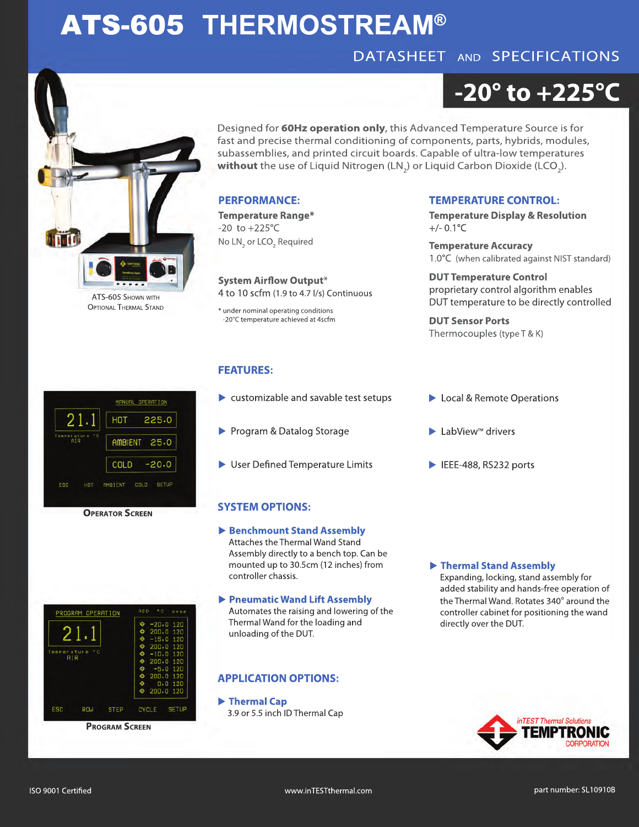## ATS-605 **THERMOSTREAM®**

### DATASHEET AND SPECIFICATIONS

# **-20° to +225°C**

Designed for **60Hz operation only**, this Advanced Temperature Source is for fast and precise thermal conditioning of components, parts, hybrids, modules, subassemblies, and printed circuit boards. Capable of ultra-low temperatures  ${\sf without}$  the use of Liquid Nitrogen (LN<sub>2</sub>) or Liquid Carbon Dioxide (LCO<sub>2</sub>).

#### **PERFORMANCE:**

**Temperature Range\*** -20 to +225°C No  $LN<sub>2</sub>$  or LCO<sub>2</sub> Required

**System Airflow Output\*** 4 to 10 scfm (1.9 to 4.7 l/s) Continuous

\* under nominal operating conditions -20°C temperature achieved at 4scfm

#### **FEATURES:**

- customizable and savable test setups
- Program & Datalog Storage
- $\blacktriangleright$  User Defined Temperature Limits

#### **SYSTEM OPTIONS:**

- **Benchmount Stand Assembly** Attaches the Thermal Wand Stand Assembly directly to a bench top. Can be mounted up to 30.5cm (12 inches) from controller chassis.
- **Pneumatic Wand Lift Assembly** Automates the raising and lowering of the Thermal Wand for the loading and unloading of the DUT.

#### **APPLICATION OPTIONS:**

 **Thermal Cap** 3.9 or 5.5 inch ID Thermal Cap

#### **TEMPERATURE CONTROL:**

**Temperature Display & Resolution**  $+/- 0.1$ °C

**Temperature Accuracy** 1.0°C (when calibrated against NIST standard)

**DUT Temperature Control** proprietary control algorithm enables DUT temperature to be directly controlled

**DUT Sensor Ports** Thermocouples (type T & K)

- ▶ Local & Remote Operations
- $\blacktriangleright$  LabView<sup>™</sup> drivers
- $\blacktriangleright$  IEEE-488, RS232 ports

#### **Thermal Stand Assembly**

Expanding, locking, stand assembly for added stability and hands-free operation of the Thermal Wand. Rotates 340° around the controller cabinet for positioning the wand directly over the DUT.

TEST Thermal Solutio





**PROGRAM SCREEN**







OPTIONAL THERMAL STAND